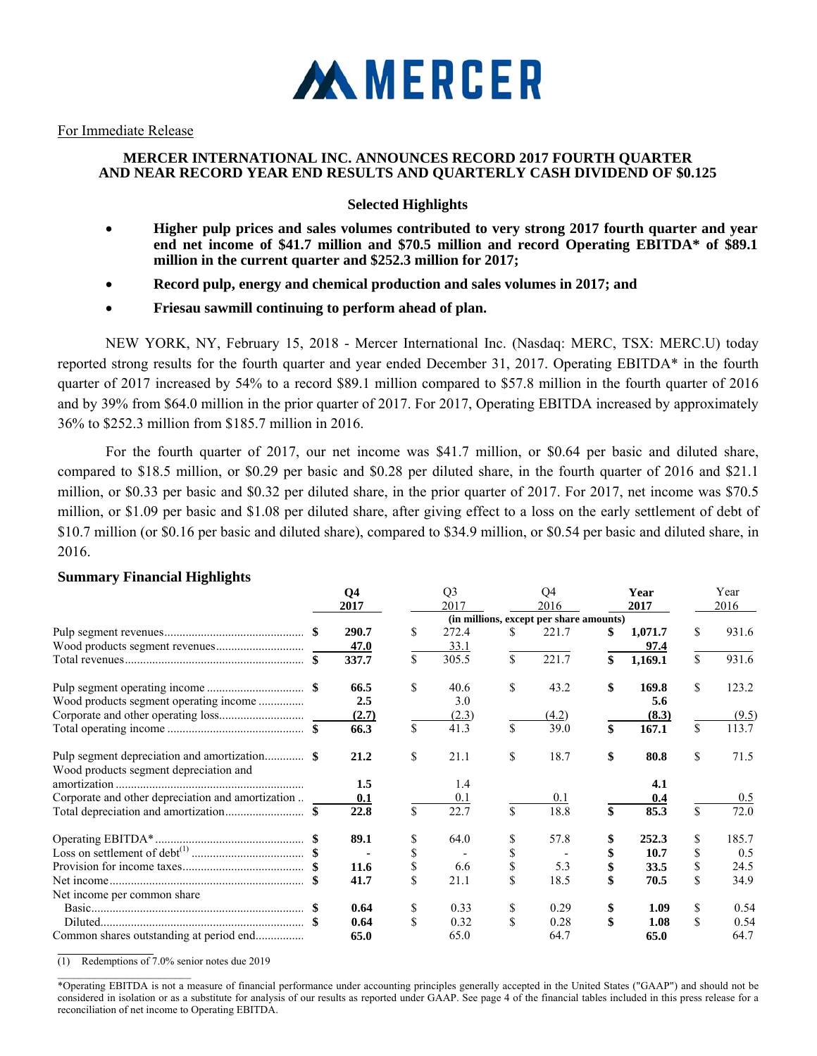

For Immediate Release

# **MERCER INTERNATIONAL INC. ANNOUNCES RECORD 2017 FOURTH QUARTER AND NEAR RECORD YEAR END RESULTS AND QUARTERLY CASH DIVIDEND OF \$0.125**

# **Selected Highlights**

- **Higher pulp prices and sales volumes contributed to very strong 2017 fourth quarter and year end net income of \$41.7 million and \$70.5 million and record Operating EBITDA\* of \$89.1 million in the current quarter and \$252.3 million for 2017;**
- **Record pulp, energy and chemical production and sales volumes in 2017; and**
- **Friesau sawmill continuing to perform ahead of plan.**

NEW YORK, NY, February 15, 2018 - Mercer International Inc. (Nasdaq: MERC, TSX: MERC.U) today reported strong results for the fourth quarter and year ended December 31, 2017. Operating EBITDA\* in the fourth quarter of 2017 increased by 54% to a record \$89.1 million compared to \$57.8 million in the fourth quarter of 2016 and by 39% from \$64.0 million in the prior quarter of 2017. For 2017, Operating EBITDA increased by approximately 36% to \$252.3 million from \$185.7 million in 2016.

For the fourth quarter of 2017, our net income was \$41.7 million, or \$0.64 per basic and diluted share, compared to \$18.5 million, or \$0.29 per basic and \$0.28 per diluted share, in the fourth quarter of 2016 and \$21.1 million, or \$0.33 per basic and \$0.32 per diluted share, in the prior quarter of 2017. For 2017, net income was \$70.5 million, or \$1.09 per basic and \$1.08 per diluted share, after giving effect to a loss on the early settlement of debt of \$10.7 million (or \$0.16 per basic and diluted share), compared to \$34.9 million, or \$0.54 per basic and diluted share, in 2016.

|                                                   | Q <sub>4</sub><br>2017 |              | Q <sub>3</sub><br>2017 |    | Q4<br>2016                              | Year<br>2017  | Year<br>2016 |
|---------------------------------------------------|------------------------|--------------|------------------------|----|-----------------------------------------|---------------|--------------|
|                                                   |                        |              |                        |    | (in millions, except per share amounts) |               |              |
|                                                   | 290.7                  | \$.          | 272.4                  | S. | 221.7                                   | \$<br>1,071.7 | \$<br>931.6  |
|                                                   | 47.0                   |              | 33.1                   |    |                                         | 97.4          |              |
|                                                   | 337.7                  | \$           | 305.5                  | \$ | 221.7                                   | \$<br>1,169.1 | \$<br>931.6  |
|                                                   | 66.5                   | \$           | 40.6                   | \$ | 43.2                                    | \$<br>169.8   | \$<br>123.2  |
| Wood products segment operating income            | 2.5                    |              | 3.0                    |    |                                         | 5.6           |              |
|                                                   | (2.7)                  |              | (2.3)                  |    | (4.2)                                   | (8.3)         | (9.5)        |
|                                                   | 66.3                   | \$           | 41.3                   | \$ | 39.0                                    | \$<br>167.1   | \$<br>113.7  |
| Wood products segment depreciation and            | 21.2                   | \$           | 21.1                   | \$ | 18.7                                    | \$<br>80.8    | \$<br>71.5   |
|                                                   | 1.5                    |              | 1.4                    |    |                                         | 4.1           |              |
| Corporate and other depreciation and amortization | 0.1                    |              | 0.1                    |    | 0.1                                     | 0.4           | 0.5          |
|                                                   | 22.8                   | $\mathbb{S}$ | 22.7                   | \$ | 18.8                                    | \$<br>85.3    | \$<br>72.0   |
|                                                   | 89.1                   | S            | 64.0                   | \$ | 57.8                                    | 252.3         | \$<br>185.7  |
|                                                   |                        |              |                        |    |                                         | 10.7          | \$<br>0.5    |
|                                                   | 11.6                   | S            | 6.6                    | \$ | 5.3                                     | 33.5          | \$<br>24.5   |
|                                                   | 41.7                   | \$           | 21.1                   | \$ | 18.5                                    | 70.5          | \$<br>34.9   |
| Net income per common share                       |                        |              |                        |    |                                         |               |              |
|                                                   | 0.64                   | \$           | 0.33                   | \$ | 0.29                                    | \$<br>1.09    | \$<br>0.54   |
|                                                   | 0.64                   | \$           | 0.32                   | \$ | 0.28                                    | \$<br>1.08    | \$<br>0.54   |
| Common shares outstanding at period end           | 65.0                   |              | 65.0                   |    | 64.7                                    | 65.0          | 64.7         |

# **Summary Financial Highlights**

(1) Redemptions of 7.0% senior notes due 2019

 $\mathcal{L}_\text{max}$ 

<sup>\*</sup>Operating EBITDA is not a measure of financial performance under accounting principles generally accepted in the United States ("GAAP") and should not be considered in isolation or as a substitute for analysis of our results as reported under GAAP. See page 4 of the financial tables included in this press release for a reconciliation of net income to Operating EBITDA.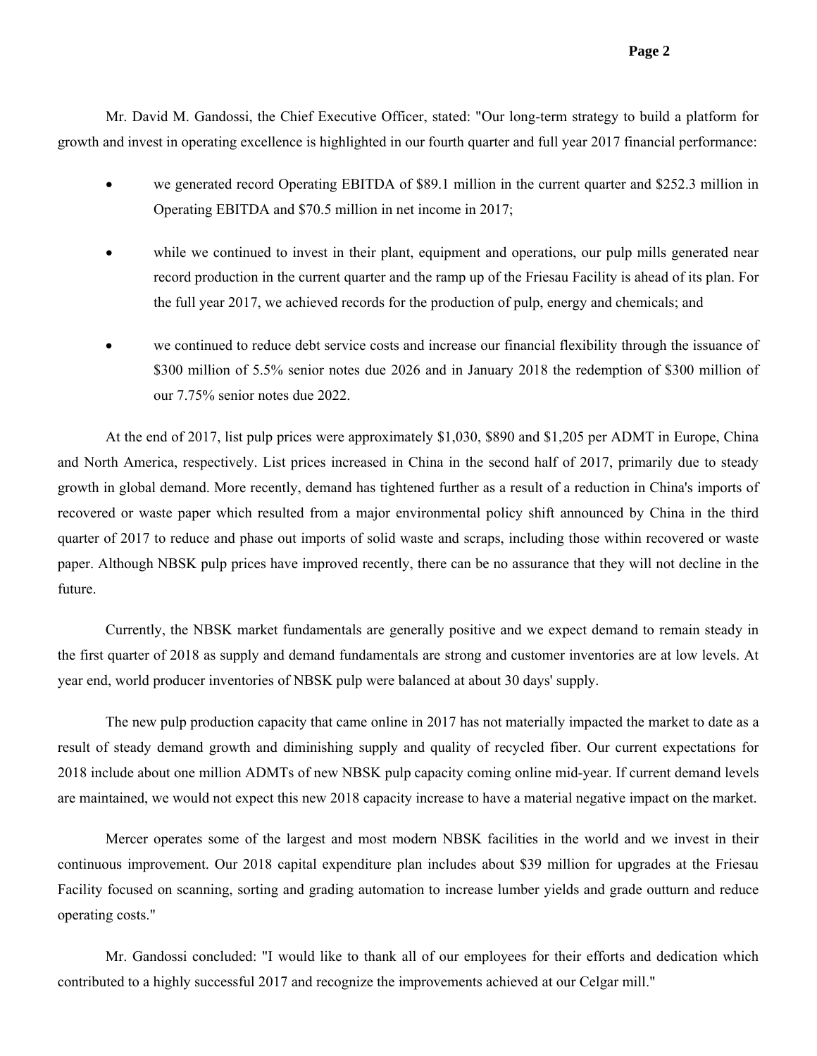Mr. David M. Gandossi, the Chief Executive Officer, stated: "Our long-term strategy to build a platform for growth and invest in operating excellence is highlighted in our fourth quarter and full year 2017 financial performance:

- we generated record Operating EBITDA of \$89.1 million in the current quarter and \$252.3 million in Operating EBITDA and \$70.5 million in net income in 2017;
- while we continued to invest in their plant, equipment and operations, our pulp mills generated near record production in the current quarter and the ramp up of the Friesau Facility is ahead of its plan. For the full year 2017, we achieved records for the production of pulp, energy and chemicals; and
- we continued to reduce debt service costs and increase our financial flexibility through the issuance of \$300 million of 5.5% senior notes due 2026 and in January 2018 the redemption of \$300 million of our 7.75% senior notes due 2022.

At the end of 2017, list pulp prices were approximately \$1,030, \$890 and \$1,205 per ADMT in Europe, China and North America, respectively. List prices increased in China in the second half of 2017, primarily due to steady growth in global demand. More recently, demand has tightened further as a result of a reduction in China's imports of recovered or waste paper which resulted from a major environmental policy shift announced by China in the third quarter of 2017 to reduce and phase out imports of solid waste and scraps, including those within recovered or waste paper. Although NBSK pulp prices have improved recently, there can be no assurance that they will not decline in the future.

Currently, the NBSK market fundamentals are generally positive and we expect demand to remain steady in the first quarter of 2018 as supply and demand fundamentals are strong and customer inventories are at low levels. At year end, world producer inventories of NBSK pulp were balanced at about 30 days' supply.

The new pulp production capacity that came online in 2017 has not materially impacted the market to date as a result of steady demand growth and diminishing supply and quality of recycled fiber. Our current expectations for 2018 include about one million ADMTs of new NBSK pulp capacity coming online mid-year. If current demand levels are maintained, we would not expect this new 2018 capacity increase to have a material negative impact on the market.

Mercer operates some of the largest and most modern NBSK facilities in the world and we invest in their continuous improvement. Our 2018 capital expenditure plan includes about \$39 million for upgrades at the Friesau Facility focused on scanning, sorting and grading automation to increase lumber yields and grade outturn and reduce operating costs."

Mr. Gandossi concluded: "I would like to thank all of our employees for their efforts and dedication which contributed to a highly successful 2017 and recognize the improvements achieved at our Celgar mill."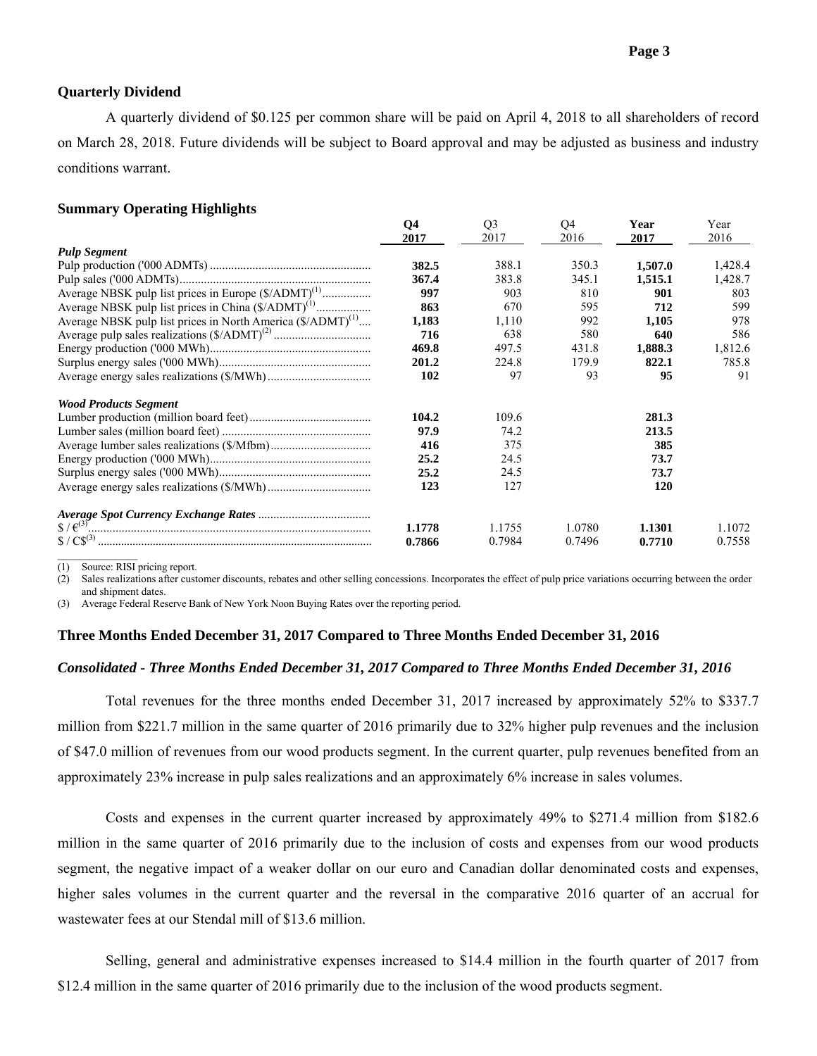## **Quarterly Dividend**

A quarterly dividend of \$0.125 per common share will be paid on April 4, 2018 to all shareholders of record on March 28, 2018. Future dividends will be subject to Board approval and may be adjusted as business and industry conditions warrant.

## **Summary Operating Highlights**

| 2016             | 2017       | 2016    |
|------------------|------------|---------|
|                  |            |         |
|                  |            |         |
| 388.1<br>350.3   | 1,507.0    | 1,428.4 |
| 383.8<br>345.1   | 1,515.1    | 1,428.7 |
| 903<br>810       | 901        | 803     |
| 595<br>670       | 712        | 599     |
| 1,110<br>992     | 1,105      | 978     |
| 580<br>638       | 640        | 586     |
| 431.8<br>497.5   | 1,888.3    | 1,812.6 |
| 224.8<br>179.9   | 822.1      | 785.8   |
| 97<br>93         | 95         | 91      |
|                  |            |         |
| 109.6            | 281.3      |         |
| 74.2             | 213.5      |         |
| 375              | 385        |         |
| 24.5             | 73.7       |         |
| 24.5             | 73.7       |         |
| 127              | <b>120</b> |         |
|                  |            |         |
| 1.0780<br>1.1755 | 1.1301     | 1.1072  |
| 0.7984<br>0.7496 | 0.7710     | 0.7558  |
|                  |            |         |

(1) Source: RISI pricing report.

(2) Sales realizations after customer discounts, rebates and other selling concessions. Incorporates the effect of pulp price variations occurring between the order and shipment dates.

(3) Average Federal Reserve Bank of New York Noon Buying Rates over the reporting period.

## **Three Months Ended December 31, 2017 Compared to Three Months Ended December 31, 2016**

#### *Consolidated - Three Months Ended December 31, 2017 Compared to Three Months Ended December 31, 2016*

Total revenues for the three months ended December 31, 2017 increased by approximately 52% to \$337.7 million from \$221.7 million in the same quarter of 2016 primarily due to 32% higher pulp revenues and the inclusion of \$47.0 million of revenues from our wood products segment. In the current quarter, pulp revenues benefited from an approximately 23% increase in pulp sales realizations and an approximately 6% increase in sales volumes.

Costs and expenses in the current quarter increased by approximately 49% to \$271.4 million from \$182.6 million in the same quarter of 2016 primarily due to the inclusion of costs and expenses from our wood products segment, the negative impact of a weaker dollar on our euro and Canadian dollar denominated costs and expenses, higher sales volumes in the current quarter and the reversal in the comparative 2016 quarter of an accrual for wastewater fees at our Stendal mill of \$13.6 million.

Selling, general and administrative expenses increased to \$14.4 million in the fourth quarter of 2017 from \$12.4 million in the same quarter of 2016 primarily due to the inclusion of the wood products segment.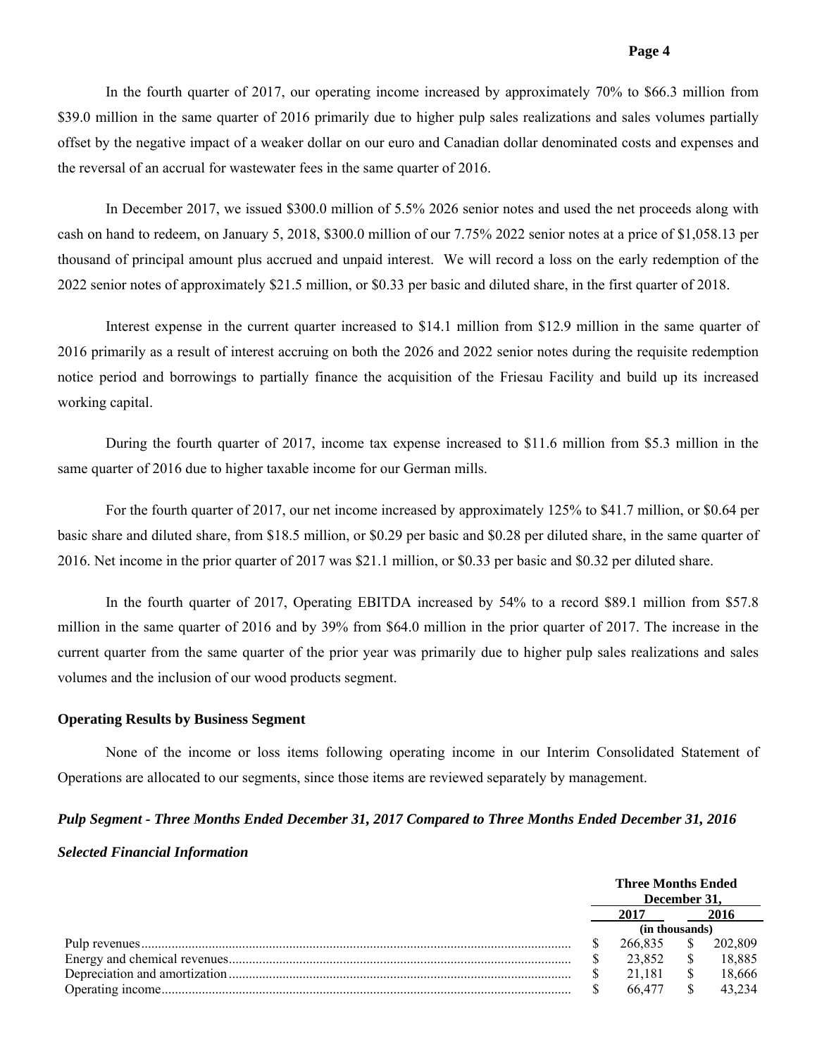In the fourth quarter of 2017, our operating income increased by approximately 70% to \$66.3 million from \$39.0 million in the same quarter of 2016 primarily due to higher pulp sales realizations and sales volumes partially offset by the negative impact of a weaker dollar on our euro and Canadian dollar denominated costs and expenses and the reversal of an accrual for wastewater fees in the same quarter of 2016.

In December 2017, we issued \$300.0 million of 5.5% 2026 senior notes and used the net proceeds along with cash on hand to redeem, on January 5, 2018, \$300.0 million of our 7.75% 2022 senior notes at a price of \$1,058.13 per thousand of principal amount plus accrued and unpaid interest. We will record a loss on the early redemption of the 2022 senior notes of approximately \$21.5 million, or \$0.33 per basic and diluted share, in the first quarter of 2018.

Interest expense in the current quarter increased to \$14.1 million from \$12.9 million in the same quarter of 2016 primarily as a result of interest accruing on both the 2026 and 2022 senior notes during the requisite redemption notice period and borrowings to partially finance the acquisition of the Friesau Facility and build up its increased working capital.

During the fourth quarter of 2017, income tax expense increased to \$11.6 million from \$5.3 million in the same quarter of 2016 due to higher taxable income for our German mills.

For the fourth quarter of 2017, our net income increased by approximately 125% to \$41.7 million, or \$0.64 per basic share and diluted share, from \$18.5 million, or \$0.29 per basic and \$0.28 per diluted share, in the same quarter of 2016. Net income in the prior quarter of 2017 was \$21.1 million, or \$0.33 per basic and \$0.32 per diluted share.

In the fourth quarter of 2017, Operating EBITDA increased by 54% to a record \$89.1 million from \$57.8 million in the same quarter of 2016 and by 39% from \$64.0 million in the prior quarter of 2017. The increase in the current quarter from the same quarter of the prior year was primarily due to higher pulp sales realizations and sales volumes and the inclusion of our wood products segment.

## **Operating Results by Business Segment**

None of the income or loss items following operating income in our Interim Consolidated Statement of Operations are allocated to our segments, since those items are reviewed separately by management.

# *Pulp Segment - Three Months Ended December 31, 2017 Compared to Three Months Ended December 31, 2016 Selected Financial Information*

|      | <b>Three Months Ended</b><br>December 31. |  |         |  |  |
|------|-------------------------------------------|--|---------|--|--|
| 2017 |                                           |  | 2016    |  |  |
|      | (in thousands)                            |  |         |  |  |
|      | 266.835                                   |  | 202.809 |  |  |
|      | 23.852                                    |  | 18.885  |  |  |
|      | 21 181                                    |  | 18.666  |  |  |
|      | 66.477                                    |  | 43 234  |  |  |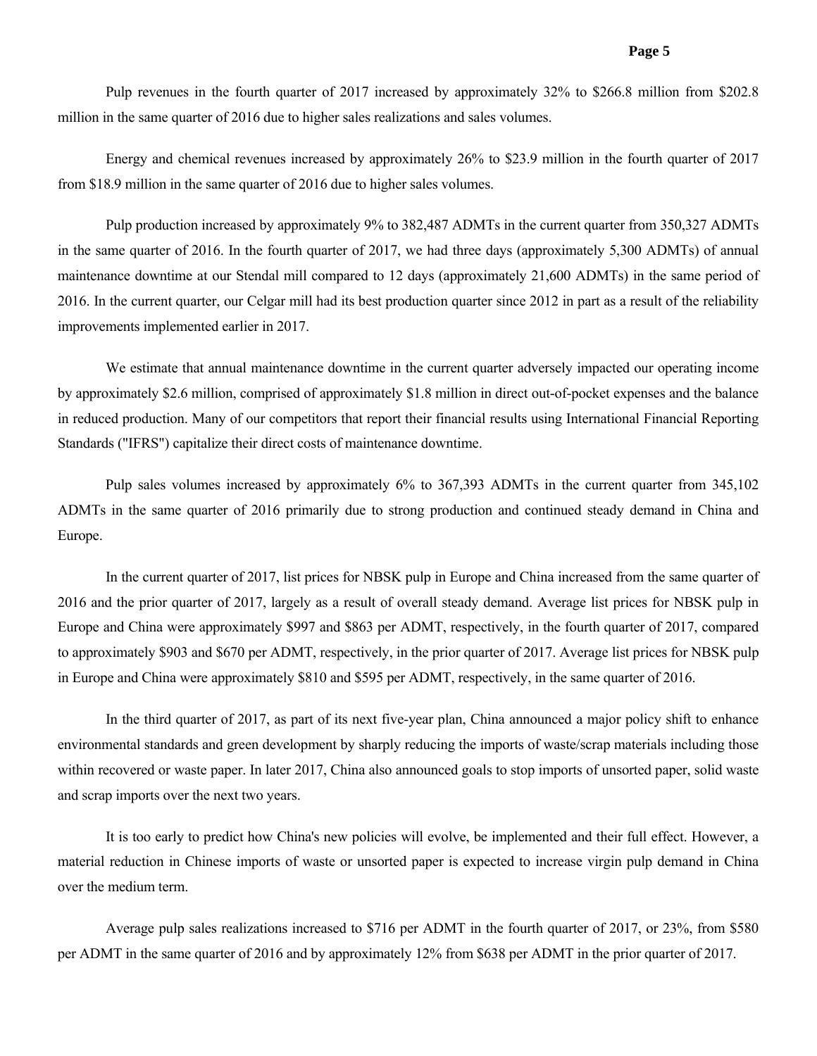Pulp revenues in the fourth quarter of 2017 increased by approximately 32% to \$266.8 million from \$202.8 million in the same quarter of 2016 due to higher sales realizations and sales volumes.

Energy and chemical revenues increased by approximately 26% to \$23.9 million in the fourth quarter of 2017 from \$18.9 million in the same quarter of 2016 due to higher sales volumes.

Pulp production increased by approximately 9% to 382,487 ADMTs in the current quarter from 350,327 ADMTs in the same quarter of 2016. In the fourth quarter of 2017, we had three days (approximately 5,300 ADMTs) of annual maintenance downtime at our Stendal mill compared to 12 days (approximately 21,600 ADMTs) in the same period of 2016. In the current quarter, our Celgar mill had its best production quarter since 2012 in part as a result of the reliability improvements implemented earlier in 2017.

We estimate that annual maintenance downtime in the current quarter adversely impacted our operating income by approximately \$2.6 million, comprised of approximately \$1.8 million in direct out-of-pocket expenses and the balance in reduced production. Many of our competitors that report their financial results using International Financial Reporting Standards ("IFRS") capitalize their direct costs of maintenance downtime.

Pulp sales volumes increased by approximately 6% to 367,393 ADMTs in the current quarter from 345,102 ADMTs in the same quarter of 2016 primarily due to strong production and continued steady demand in China and Europe.

In the current quarter of 2017, list prices for NBSK pulp in Europe and China increased from the same quarter of 2016 and the prior quarter of 2017, largely as a result of overall steady demand. Average list prices for NBSK pulp in Europe and China were approximately \$997 and \$863 per ADMT, respectively, in the fourth quarter of 2017, compared to approximately \$903 and \$670 per ADMT, respectively, in the prior quarter of 2017. Average list prices for NBSK pulp in Europe and China were approximately \$810 and \$595 per ADMT, respectively, in the same quarter of 2016.

In the third quarter of 2017, as part of its next five-year plan, China announced a major policy shift to enhance environmental standards and green development by sharply reducing the imports of waste/scrap materials including those within recovered or waste paper. In later 2017, China also announced goals to stop imports of unsorted paper, solid waste and scrap imports over the next two years.

It is too early to predict how China's new policies will evolve, be implemented and their full effect. However, a material reduction in Chinese imports of waste or unsorted paper is expected to increase virgin pulp demand in China over the medium term.

Average pulp sales realizations increased to \$716 per ADMT in the fourth quarter of 2017, or 23%, from \$580 per ADMT in the same quarter of 2016 and by approximately 12% from \$638 per ADMT in the prior quarter of 2017.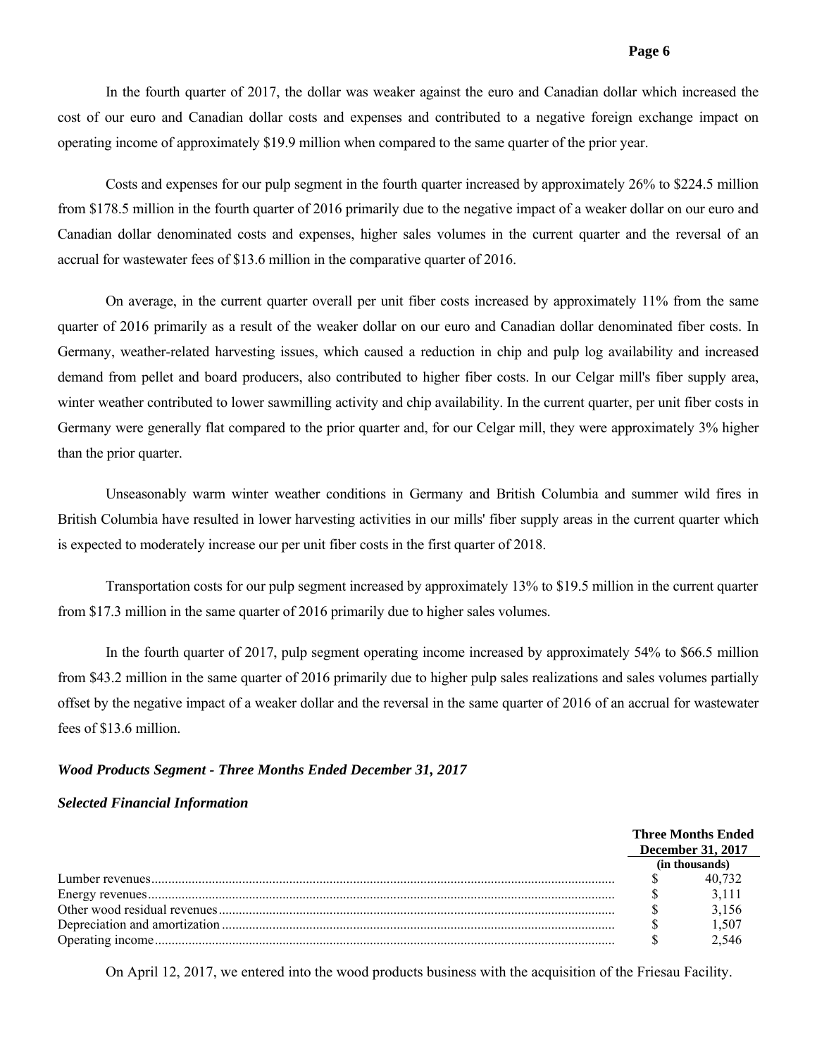In the fourth quarter of 2017, the dollar was weaker against the euro and Canadian dollar which increased the cost of our euro and Canadian dollar costs and expenses and contributed to a negative foreign exchange impact on operating income of approximately \$19.9 million when compared to the same quarter of the prior year.

Costs and expenses for our pulp segment in the fourth quarter increased by approximately 26% to \$224.5 million from \$178.5 million in the fourth quarter of 2016 primarily due to the negative impact of a weaker dollar on our euro and Canadian dollar denominated costs and expenses, higher sales volumes in the current quarter and the reversal of an accrual for wastewater fees of \$13.6 million in the comparative quarter of 2016.

On average, in the current quarter overall per unit fiber costs increased by approximately 11% from the same quarter of 2016 primarily as a result of the weaker dollar on our euro and Canadian dollar denominated fiber costs. In Germany, weather-related harvesting issues, which caused a reduction in chip and pulp log availability and increased demand from pellet and board producers, also contributed to higher fiber costs. In our Celgar mill's fiber supply area, winter weather contributed to lower sawmilling activity and chip availability. In the current quarter, per unit fiber costs in Germany were generally flat compared to the prior quarter and, for our Celgar mill, they were approximately 3% higher than the prior quarter.

Unseasonably warm winter weather conditions in Germany and British Columbia and summer wild fires in British Columbia have resulted in lower harvesting activities in our mills' fiber supply areas in the current quarter which is expected to moderately increase our per unit fiber costs in the first quarter of 2018.

Transportation costs for our pulp segment increased by approximately 13% to \$19.5 million in the current quarter from \$17.3 million in the same quarter of 2016 primarily due to higher sales volumes.

In the fourth quarter of 2017, pulp segment operating income increased by approximately 54% to \$66.5 million from \$43.2 million in the same quarter of 2016 primarily due to higher pulp sales realizations and sales volumes partially offset by the negative impact of a weaker dollar and the reversal in the same quarter of 2016 of an accrual for wastewater fees of \$13.6 million.

#### *Wood Products Segment - Three Months Ended December 31, 2017*

#### *Selected Financial Information*

| <b>Three Months Ended</b> |                |  |  |
|---------------------------|----------------|--|--|
| <b>December 31, 2017</b>  |                |  |  |
|                           | (in thousands) |  |  |
|                           | 40 732         |  |  |
|                           | 3.111          |  |  |
|                           | 3,156          |  |  |
|                           | 1,507          |  |  |
|                           | 2.546          |  |  |

On April 12, 2017, we entered into the wood products business with the acquisition of the Friesau Facility.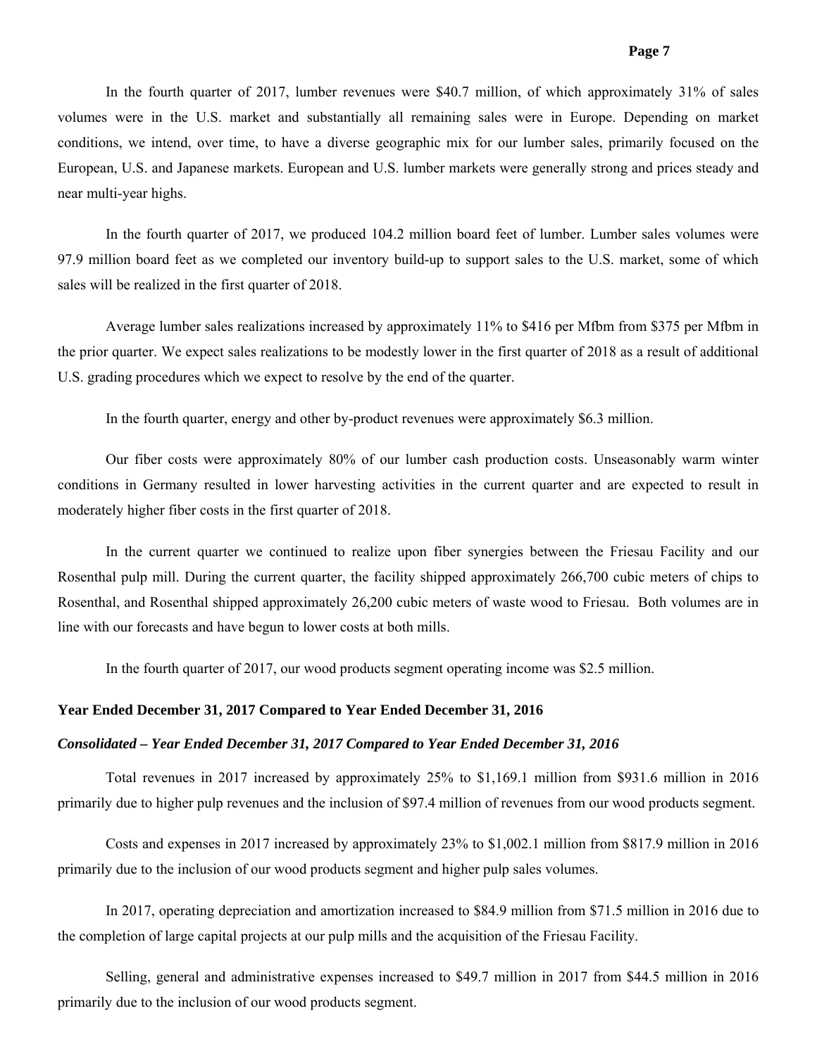In the fourth quarter of 2017, lumber revenues were \$40.7 million, of which approximately 31% of sales volumes were in the U.S. market and substantially all remaining sales were in Europe. Depending on market conditions, we intend, over time, to have a diverse geographic mix for our lumber sales, primarily focused on the European, U.S. and Japanese markets. European and U.S. lumber markets were generally strong and prices steady and near multi-year highs.

In the fourth quarter of 2017, we produced 104.2 million board feet of lumber. Lumber sales volumes were 97.9 million board feet as we completed our inventory build-up to support sales to the U.S. market, some of which sales will be realized in the first quarter of 2018.

Average lumber sales realizations increased by approximately 11% to \$416 per Mfbm from \$375 per Mfbm in the prior quarter. We expect sales realizations to be modestly lower in the first quarter of 2018 as a result of additional U.S. grading procedures which we expect to resolve by the end of the quarter.

In the fourth quarter, energy and other by-product revenues were approximately \$6.3 million.

Our fiber costs were approximately 80% of our lumber cash production costs. Unseasonably warm winter conditions in Germany resulted in lower harvesting activities in the current quarter and are expected to result in moderately higher fiber costs in the first quarter of 2018.

In the current quarter we continued to realize upon fiber synergies between the Friesau Facility and our Rosenthal pulp mill. During the current quarter, the facility shipped approximately 266,700 cubic meters of chips to Rosenthal, and Rosenthal shipped approximately 26,200 cubic meters of waste wood to Friesau. Both volumes are in line with our forecasts and have begun to lower costs at both mills.

In the fourth quarter of 2017, our wood products segment operating income was \$2.5 million.

#### **Year Ended December 31, 2017 Compared to Year Ended December 31, 2016**

#### *Consolidated – Year Ended December 31, 2017 Compared to Year Ended December 31, 2016*

Total revenues in 2017 increased by approximately 25% to \$1,169.1 million from \$931.6 million in 2016 primarily due to higher pulp revenues and the inclusion of \$97.4 million of revenues from our wood products segment.

Costs and expenses in 2017 increased by approximately 23% to \$1,002.1 million from \$817.9 million in 2016 primarily due to the inclusion of our wood products segment and higher pulp sales volumes.

In 2017, operating depreciation and amortization increased to \$84.9 million from \$71.5 million in 2016 due to the completion of large capital projects at our pulp mills and the acquisition of the Friesau Facility.

Selling, general and administrative expenses increased to \$49.7 million in 2017 from \$44.5 million in 2016 primarily due to the inclusion of our wood products segment.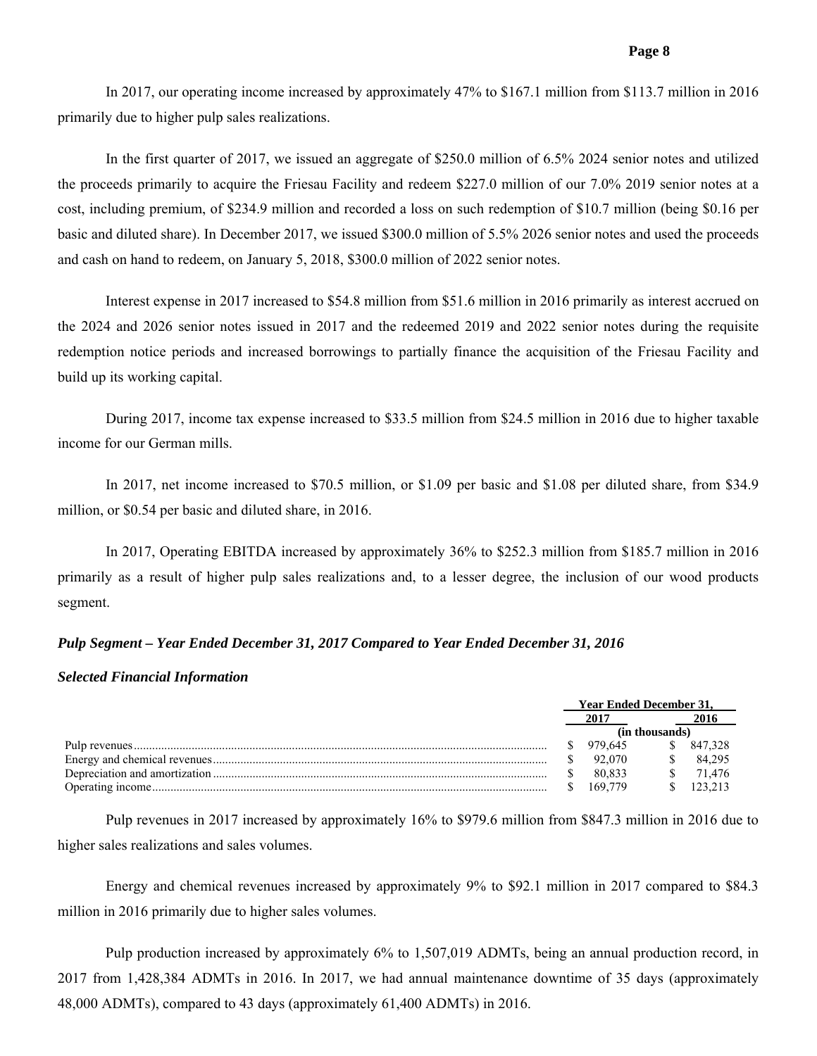In 2017, our operating income increased by approximately 47% to \$167.1 million from \$113.7 million in 2016 primarily due to higher pulp sales realizations.

In the first quarter of 2017, we issued an aggregate of \$250.0 million of 6.5% 2024 senior notes and utilized the proceeds primarily to acquire the Friesau Facility and redeem \$227.0 million of our 7.0% 2019 senior notes at a cost, including premium, of \$234.9 million and recorded a loss on such redemption of \$10.7 million (being \$0.16 per basic and diluted share). In December 2017, we issued \$300.0 million of 5.5% 2026 senior notes and used the proceeds and cash on hand to redeem, on January 5, 2018, \$300.0 million of 2022 senior notes.

Interest expense in 2017 increased to \$54.8 million from \$51.6 million in 2016 primarily as interest accrued on the 2024 and 2026 senior notes issued in 2017 and the redeemed 2019 and 2022 senior notes during the requisite redemption notice periods and increased borrowings to partially finance the acquisition of the Friesau Facility and build up its working capital.

During 2017, income tax expense increased to \$33.5 million from \$24.5 million in 2016 due to higher taxable income for our German mills.

In 2017, net income increased to \$70.5 million, or \$1.09 per basic and \$1.08 per diluted share, from \$34.9 million, or \$0.54 per basic and diluted share, in 2016.

In 2017, Operating EBITDA increased by approximately 36% to \$252.3 million from \$185.7 million in 2016 primarily as a result of higher pulp sales realizations and, to a lesser degree, the inclusion of our wood products segment.

# *Pulp Segment – Year Ended December 31, 2017 Compared to Year Ended December 31, 2016*

## *Selected Financial Information*

| <b>Year Ended December 31.</b> |                |  |         |  |  |
|--------------------------------|----------------|--|---------|--|--|
|                                |                |  |         |  |  |
|                                | (in thousands) |  |         |  |  |
|                                | 979.645        |  | 847.328 |  |  |
|                                | 92.070         |  | 84 295  |  |  |
|                                | 80.833         |  | 71 476  |  |  |
|                                | 169 779        |  | 123.213 |  |  |

Pulp revenues in 2017 increased by approximately 16% to \$979.6 million from \$847.3 million in 2016 due to higher sales realizations and sales volumes.

Energy and chemical revenues increased by approximately 9% to \$92.1 million in 2017 compared to \$84.3 million in 2016 primarily due to higher sales volumes.

Pulp production increased by approximately 6% to 1,507,019 ADMTs, being an annual production record, in 2017 from 1,428,384 ADMTs in 2016. In 2017, we had annual maintenance downtime of 35 days (approximately 48,000 ADMTs), compared to 43 days (approximately 61,400 ADMTs) in 2016.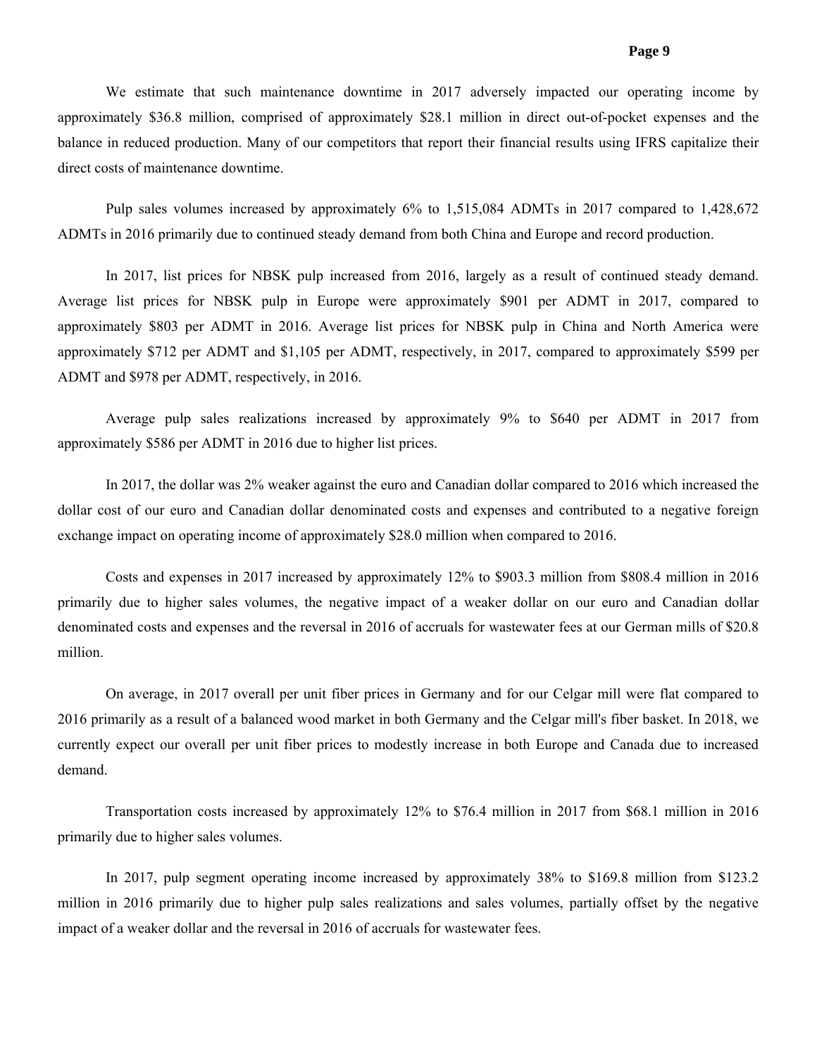We estimate that such maintenance downtime in 2017 adversely impacted our operating income by approximately \$36.8 million, comprised of approximately \$28.1 million in direct out-of-pocket expenses and the balance in reduced production. Many of our competitors that report their financial results using IFRS capitalize their direct costs of maintenance downtime.

Pulp sales volumes increased by approximately 6% to 1,515,084 ADMTs in 2017 compared to 1,428,672 ADMTs in 2016 primarily due to continued steady demand from both China and Europe and record production.

In 2017, list prices for NBSK pulp increased from 2016, largely as a result of continued steady demand. Average list prices for NBSK pulp in Europe were approximately \$901 per ADMT in 2017, compared to approximately \$803 per ADMT in 2016. Average list prices for NBSK pulp in China and North America were approximately \$712 per ADMT and \$1,105 per ADMT, respectively, in 2017, compared to approximately \$599 per ADMT and \$978 per ADMT, respectively, in 2016.

Average pulp sales realizations increased by approximately 9% to \$640 per ADMT in 2017 from approximately \$586 per ADMT in 2016 due to higher list prices.

In 2017, the dollar was 2% weaker against the euro and Canadian dollar compared to 2016 which increased the dollar cost of our euro and Canadian dollar denominated costs and expenses and contributed to a negative foreign exchange impact on operating income of approximately \$28.0 million when compared to 2016.

Costs and expenses in 2017 increased by approximately 12% to \$903.3 million from \$808.4 million in 2016 primarily due to higher sales volumes, the negative impact of a weaker dollar on our euro and Canadian dollar denominated costs and expenses and the reversal in 2016 of accruals for wastewater fees at our German mills of \$20.8 million.

On average, in 2017 overall per unit fiber prices in Germany and for our Celgar mill were flat compared to 2016 primarily as a result of a balanced wood market in both Germany and the Celgar mill's fiber basket. In 2018, we currently expect our overall per unit fiber prices to modestly increase in both Europe and Canada due to increased demand.

Transportation costs increased by approximately 12% to \$76.4 million in 2017 from \$68.1 million in 2016 primarily due to higher sales volumes.

In 2017, pulp segment operating income increased by approximately 38% to \$169.8 million from \$123.2 million in 2016 primarily due to higher pulp sales realizations and sales volumes, partially offset by the negative impact of a weaker dollar and the reversal in 2016 of accruals for wastewater fees.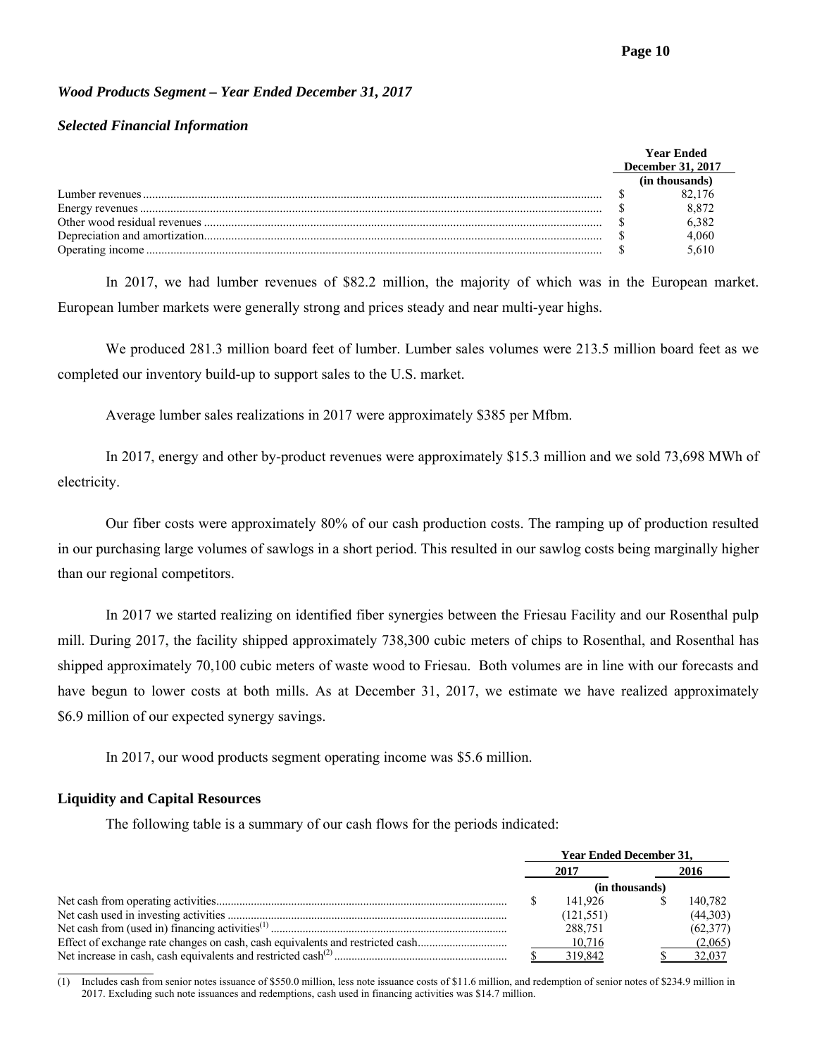# *Wood Products Segment – Year Ended December 31, 2017*

# *Selected Financial Information*

| Year Ended        |       |  |  |
|-------------------|-------|--|--|
| December 31, 2017 |       |  |  |
| (in thousands)    |       |  |  |
|                   |       |  |  |
|                   | 8.872 |  |  |
|                   | 6 382 |  |  |
|                   | 4.060 |  |  |
|                   |       |  |  |

In 2017, we had lumber revenues of \$82.2 million, the majority of which was in the European market. European lumber markets were generally strong and prices steady and near multi-year highs.

We produced 281.3 million board feet of lumber. Lumber sales volumes were 213.5 million board feet as we completed our inventory build-up to support sales to the U.S. market.

Average lumber sales realizations in 2017 were approximately \$385 per Mfbm.

In 2017, energy and other by-product revenues were approximately \$15.3 million and we sold 73,698 MWh of electricity.

Our fiber costs were approximately 80% of our cash production costs. The ramping up of production resulted in our purchasing large volumes of sawlogs in a short period. This resulted in our sawlog costs being marginally higher than our regional competitors.

In 2017 we started realizing on identified fiber synergies between the Friesau Facility and our Rosenthal pulp mill. During 2017, the facility shipped approximately 738,300 cubic meters of chips to Rosenthal, and Rosenthal has shipped approximately 70,100 cubic meters of waste wood to Friesau. Both volumes are in line with our forecasts and have begun to lower costs at both mills. As at December 31, 2017, we estimate we have realized approximately \$6.9 million of our expected synergy savings.

In 2017, our wood products segment operating income was \$5.6 million.

# **Liquidity and Capital Resources**

 $\overline{a}$ 

The following table is a summary of our cash flows for the periods indicated:

|                                                                               | <b>Year Ended December 31.</b> |            |  |           |  |  |
|-------------------------------------------------------------------------------|--------------------------------|------------|--|-----------|--|--|
|                                                                               |                                | 2017       |  | 2016      |  |  |
|                                                                               | (in thousands)                 |            |  |           |  |  |
|                                                                               |                                | 141.926    |  | 140.782   |  |  |
|                                                                               |                                | (121, 551) |  | (44,303)  |  |  |
|                                                                               |                                | 288.751    |  | (62, 377) |  |  |
| Effect of exchange rate changes on cash, cash equivalents and restricted cash |                                | 10.716     |  | (2,065)   |  |  |
|                                                                               |                                | 319.842    |  | 32,037    |  |  |

(1) Includes cash from senior notes issuance of \$550.0 million, less note issuance costs of \$11.6 million, and redemption of senior notes of \$234.9 million in 2017. Excluding such note issuances and redemptions, cash used in financing activities was \$14.7 million.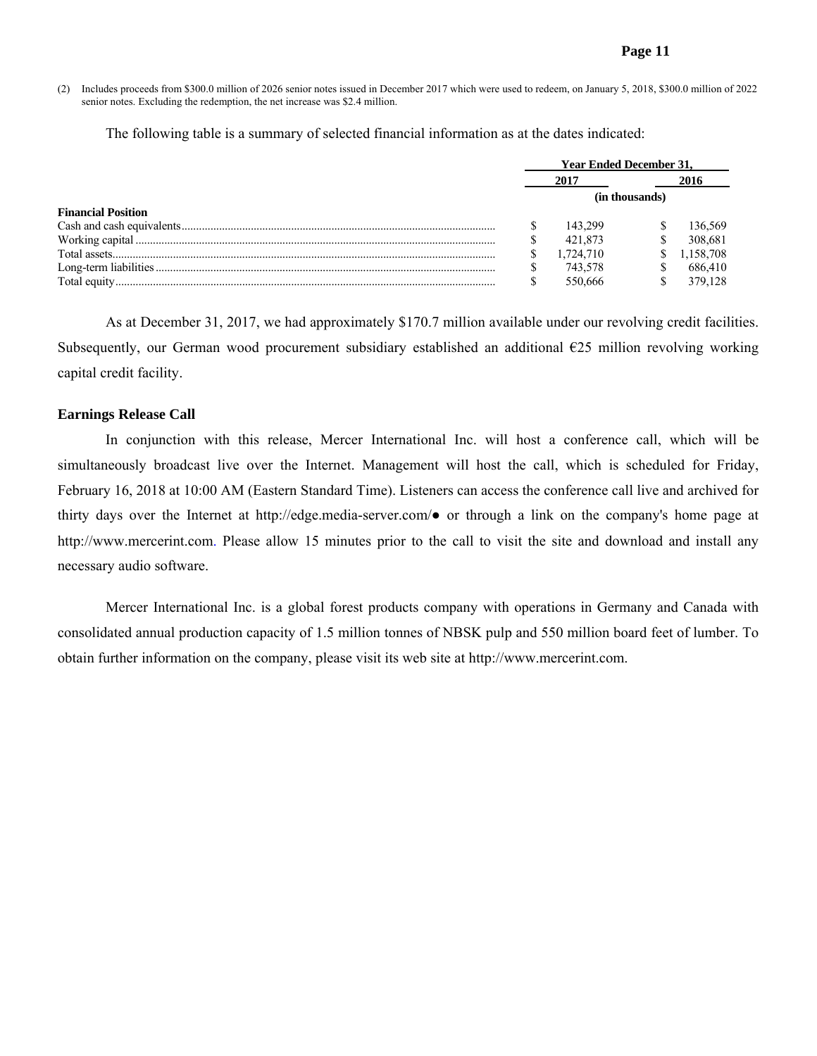(2) Includes proceeds from \$300.0 million of 2026 senior notes issued in December 2017 which were used to redeem, on January 5, 2018, \$300.0 million of 2022 senior notes. Excluding the redemption, the net increase was \$2.4 million.

The following table is a summary of selected financial information as at the dates indicated:

|                           | <b>Year Ended December 31.</b> |           |  |           |  |  |
|---------------------------|--------------------------------|-----------|--|-----------|--|--|
|                           |                                | 2017      |  |           |  |  |
|                           | (in thousands)                 |           |  |           |  |  |
| <b>Financial Position</b> |                                |           |  |           |  |  |
|                           |                                | 143.299   |  | 136.569   |  |  |
|                           |                                | 421.873   |  | 308.681   |  |  |
| Total assets              |                                | 1.724.710 |  | 1,158,708 |  |  |
|                           |                                | 743.578   |  | 686410    |  |  |
| Total equity              |                                | 550.666   |  | 379.128   |  |  |

As at December 31, 2017, we had approximately \$170.7 million available under our revolving credit facilities. Subsequently, our German wood procurement subsidiary established an additional €25 million revolving working capital credit facility.

## **Earnings Release Call**

 In conjunction with this release, Mercer International Inc. will host a conference call, which will be simultaneously broadcast live over the Internet. Management will host the call, which is scheduled for Friday, February 16, 2018 at 10:00 AM (Eastern Standard Time). Listeners can access the conference call live and archived for thirty days over the Internet at http://edge.media-server.com/● or through a link on the company's home page at http://www.mercerint.com. Please allow 15 minutes prior to the call to visit the site and download and install any necessary audio software.

Mercer International Inc. is a global forest products company with operations in Germany and Canada with consolidated annual production capacity of 1.5 million tonnes of NBSK pulp and 550 million board feet of lumber. To obtain further information on the company, please visit its web site at http://www.mercerint.com.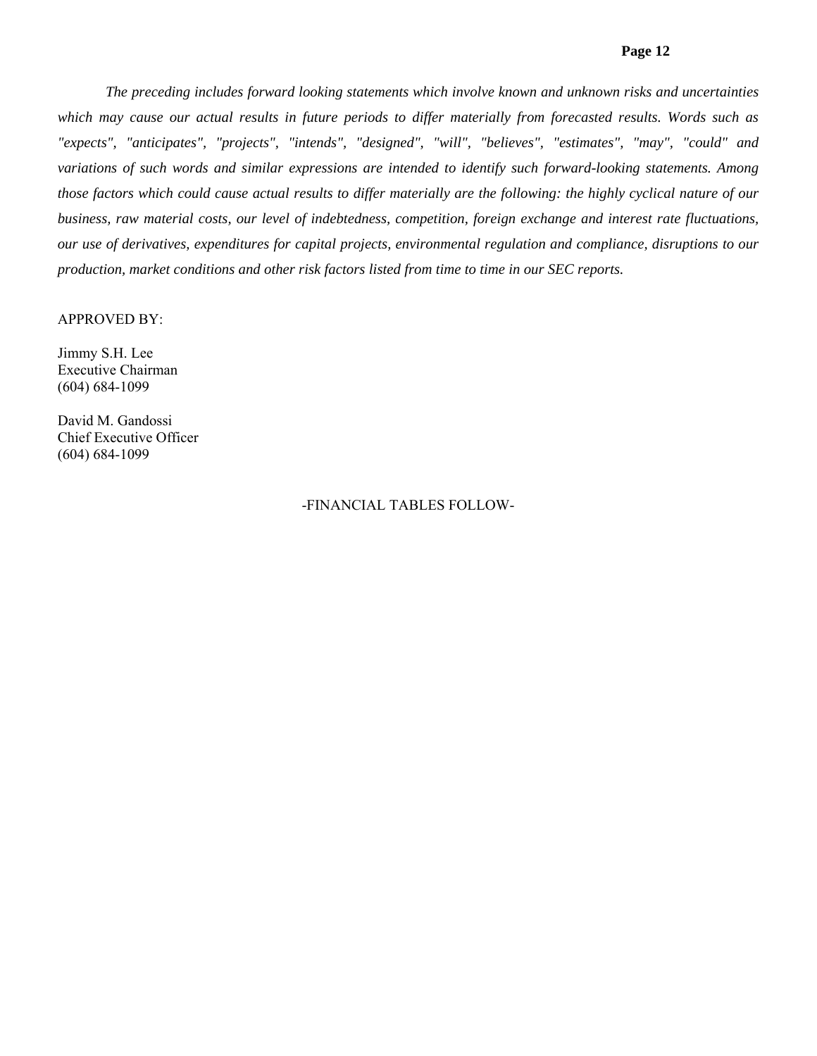## **Page 12**

*The preceding includes forward looking statements which involve known and unknown risks and uncertainties*  which may cause our actual results in future periods to differ materially from forecasted results. Words such as *"expects", "anticipates", "projects", "intends", "designed", "will", "believes", "estimates", "may", "could" and variations of such words and similar expressions are intended to identify such forward-looking statements. Among those factors which could cause actual results to differ materially are the following: the highly cyclical nature of our business, raw material costs, our level of indebtedness, competition, foreign exchange and interest rate fluctuations, our use of derivatives, expenditures for capital projects, environmental regulation and compliance, disruptions to our production, market conditions and other risk factors listed from time to time in our SEC reports.* 

#### APPROVED BY:

Jimmy S.H. Lee Executive Chairman (604) 684-1099

David M. Gandossi Chief Executive Officer (604) 684-1099

# -FINANCIAL TABLES FOLLOW-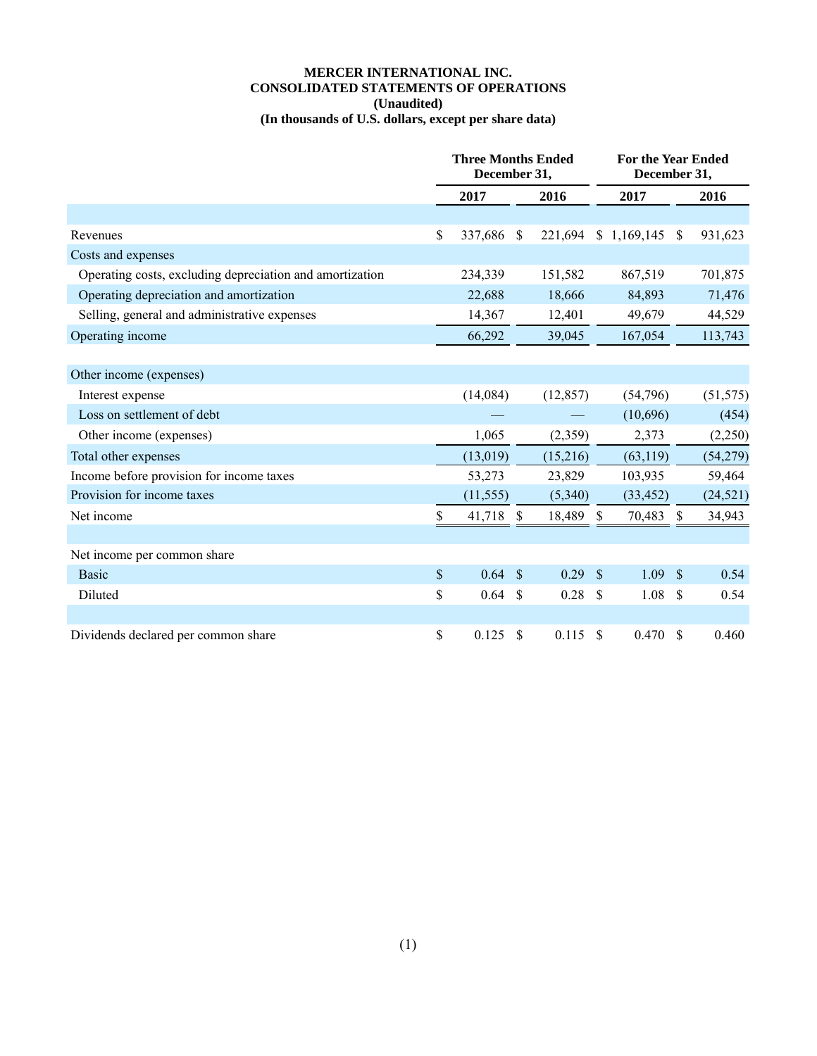## **MERCER INTERNATIONAL INC. CONSOLIDATED STATEMENTS OF OPERATIONS (Unaudited) (In thousands of U.S. dollars, except per share data)**

|                                                          | <b>Three Months Ended</b><br>December 31, |           |               |           |               | <b>For the Year Ended</b><br>December 31, |                    |           |
|----------------------------------------------------------|-------------------------------------------|-----------|---------------|-----------|---------------|-------------------------------------------|--------------------|-----------|
|                                                          |                                           | 2017      | 2016          |           | 2017          |                                           |                    | 2016      |
|                                                          |                                           |           |               |           |               |                                           |                    |           |
| Revenues                                                 | \$                                        | 337,686   | \$            | 221,694   |               | \$1,169,145                               | <sup>\$</sup>      | 931,623   |
| Costs and expenses                                       |                                           |           |               |           |               |                                           |                    |           |
| Operating costs, excluding depreciation and amortization |                                           | 234,339   |               | 151,582   |               | 867,519                                   |                    | 701,875   |
| Operating depreciation and amortization                  |                                           | 22,688    |               | 18,666    |               | 84,893                                    |                    | 71,476    |
| Selling, general and administrative expenses             |                                           | 14,367    |               | 12,401    |               | 49,679                                    |                    | 44,529    |
| Operating income                                         |                                           | 66,292    |               | 39,045    |               | 167,054                                   |                    | 113,743   |
|                                                          |                                           |           |               |           |               |                                           |                    |           |
| Other income (expenses)                                  |                                           |           |               |           |               |                                           |                    |           |
| Interest expense                                         |                                           | (14,084)  |               | (12, 857) |               | (54,796)                                  |                    | (51, 575) |
| Loss on settlement of debt                               |                                           |           |               |           |               | (10,696)                                  |                    | (454)     |
| Other income (expenses)                                  |                                           | 1,065     |               | (2,359)   |               | 2,373                                     |                    | (2,250)   |
| Total other expenses                                     |                                           | (13, 019) |               | (15,216)  |               | (63, 119)                                 |                    | (54,279)  |
| Income before provision for income taxes                 |                                           | 53,273    |               | 23,829    |               | 103,935                                   |                    | 59,464    |
| Provision for income taxes                               |                                           | (11, 555) |               | (5,340)   |               | (33, 452)                                 |                    | (24, 521) |
| Net income                                               | \$                                        | 41,718 \$ |               | 18,489 \$ |               | 70,483                                    | $\mathbb{S}$       | 34,943    |
|                                                          |                                           |           |               |           |               |                                           |                    |           |
| Net income per common share                              |                                           |           |               |           |               |                                           |                    |           |
| <b>Basic</b>                                             | \$                                        | 0.64      | $\mathcal{S}$ | 0.29      | $\mathcal{S}$ | 1.09                                      | $\mathbf{\hat{s}}$ | 0.54      |
| Diluted                                                  | \$                                        | 0.64      | \$            | $0.28$ \$ |               | 1.08                                      | -S                 | 0.54      |
|                                                          |                                           |           |               |           |               |                                           |                    |           |
| Dividends declared per common share                      | \$                                        | 0.125     | \$            | 0.115     | <sup>\$</sup> | 0.470                                     | <sup>\$</sup>      | 0.460     |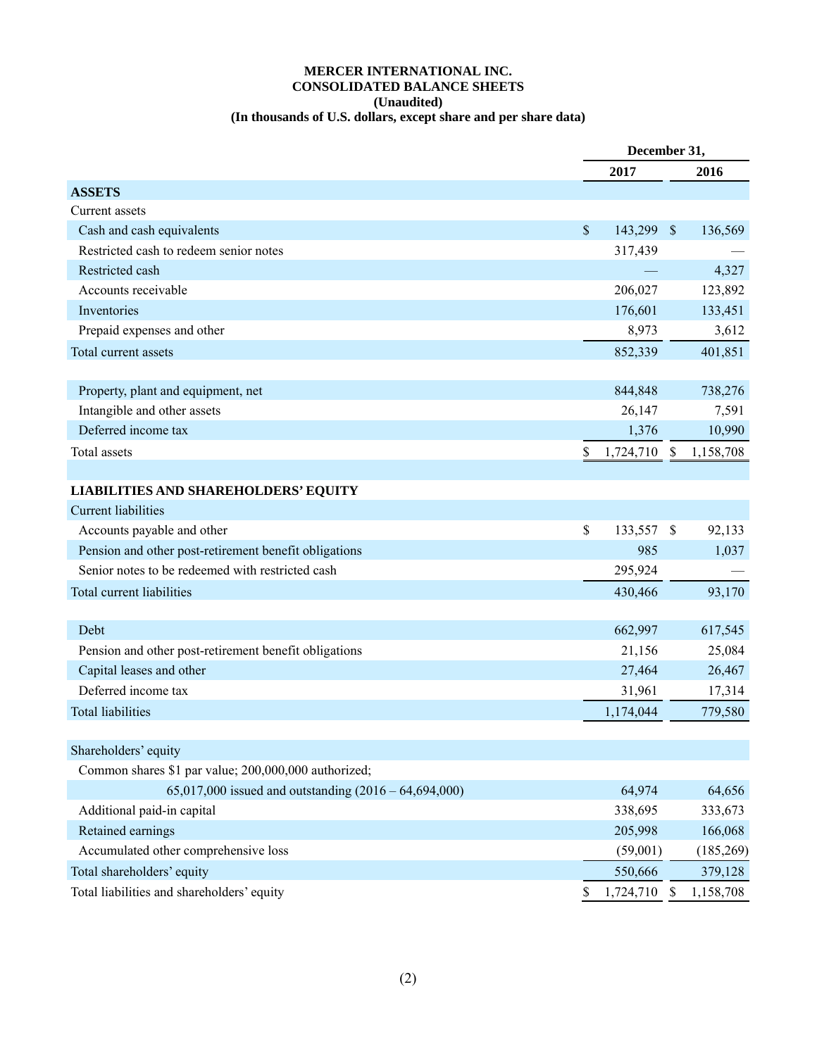## **MERCER INTERNATIONAL INC. CONSOLIDATED BALANCE SHEETS (Unaudited) (In thousands of U.S. dollars, except share and per share data)**

|                                                         |               | December 31, |              |            |  |  |
|---------------------------------------------------------|---------------|--------------|--------------|------------|--|--|
|                                                         |               | 2017         |              | 2016       |  |  |
| <b>ASSETS</b>                                           |               |              |              |            |  |  |
| Current assets                                          |               |              |              |            |  |  |
| Cash and cash equivalents                               | $\mathcal{S}$ | 143,299      | $\mathbb{S}$ | 136,569    |  |  |
| Restricted cash to redeem senior notes                  |               | 317,439      |              |            |  |  |
| Restricted cash                                         |               |              |              | 4,327      |  |  |
| Accounts receivable                                     |               | 206,027      |              | 123,892    |  |  |
| Inventories                                             |               | 176,601      |              | 133,451    |  |  |
| Prepaid expenses and other                              |               | 8,973        |              | 3,612      |  |  |
| Total current assets                                    |               | 852,339      |              | 401,851    |  |  |
|                                                         |               |              |              |            |  |  |
| Property, plant and equipment, net                      |               | 844,848      |              | 738,276    |  |  |
| Intangible and other assets                             |               | 26,147       |              | 7,591      |  |  |
| Deferred income tax                                     |               | 1,376        |              | 10,990     |  |  |
| Total assets                                            | \$            | 1,724,710 \$ |              | 1,158,708  |  |  |
|                                                         |               |              |              |            |  |  |
| <b>LIABILITIES AND SHAREHOLDERS' EQUITY</b>             |               |              |              |            |  |  |
| <b>Current liabilities</b>                              |               |              |              |            |  |  |
| Accounts payable and other                              | \$            | 133,557 \$   |              | 92,133     |  |  |
| Pension and other post-retirement benefit obligations   |               | 985          |              | 1,037      |  |  |
| Senior notes to be redeemed with restricted cash        |               | 295,924      |              |            |  |  |
| Total current liabilities                               |               | 430,466      |              | 93,170     |  |  |
|                                                         |               |              |              |            |  |  |
| Debt                                                    |               | 662,997      |              | 617,545    |  |  |
| Pension and other post-retirement benefit obligations   |               | 21,156       |              | 25,084     |  |  |
| Capital leases and other                                |               | 27,464       |              | 26,467     |  |  |
| Deferred income tax                                     |               | 31,961       |              | 17,314     |  |  |
| <b>Total liabilities</b>                                |               | 1,174,044    |              | 779,580    |  |  |
|                                                         |               |              |              |            |  |  |
| Shareholders' equity                                    |               |              |              |            |  |  |
| Common shares \$1 par value; 200,000,000 authorized;    |               |              |              |            |  |  |
| 65,017,000 issued and outstanding $(2016 - 64,694,000)$ |               | 64,974       |              | 64,656     |  |  |
| Additional paid-in capital                              |               | 338,695      |              | 333,673    |  |  |
| Retained earnings                                       |               | 205,998      |              | 166,068    |  |  |
| Accumulated other comprehensive loss                    |               | (59,001)     |              | (185, 269) |  |  |
| Total shareholders' equity                              |               | 550,666      |              | 379,128    |  |  |
| Total liabilities and shareholders' equity              | S             | 1,724,710    | \$           | 1,158,708  |  |  |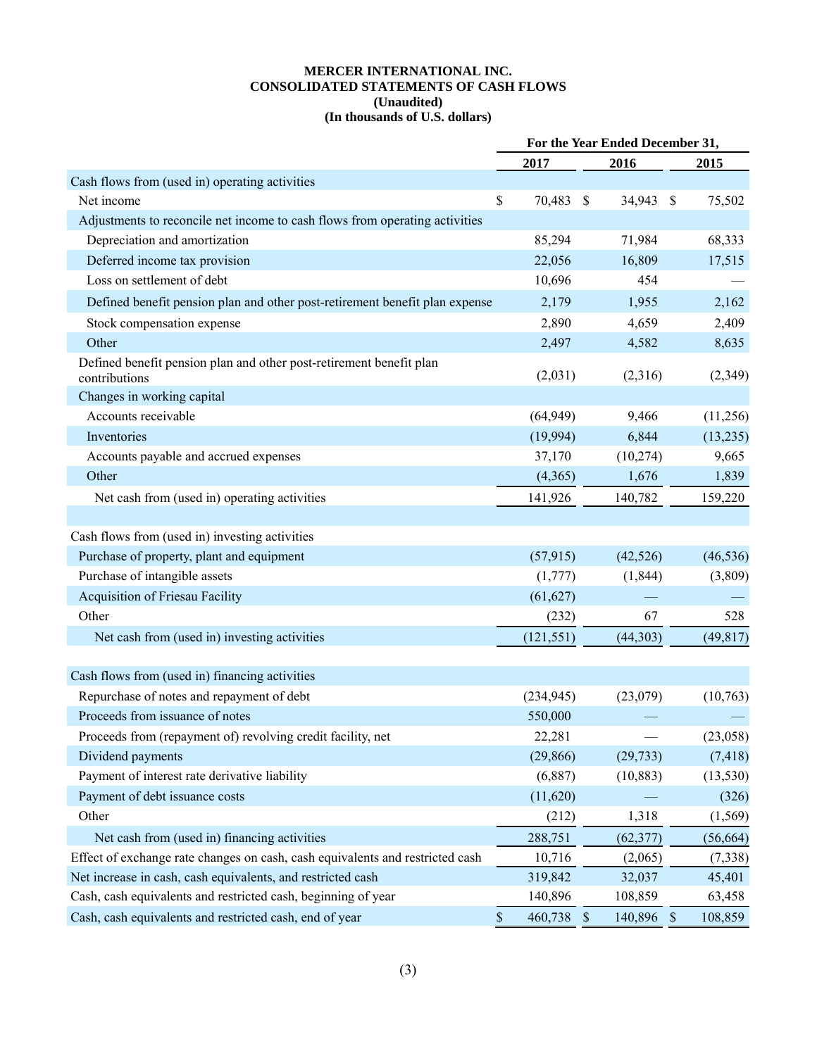#### **MERCER INTERNATIONAL INC. CONSOLIDATED STATEMENTS OF CASH FLOWS (Unaudited) (In thousands of U.S. dollars)**

|                                                                                      | For the Year Ended December 31, |            |  |            |  |           |
|--------------------------------------------------------------------------------------|---------------------------------|------------|--|------------|--|-----------|
|                                                                                      |                                 | 2017       |  | 2016       |  | 2015      |
| Cash flows from (used in) operating activities                                       |                                 |            |  |            |  |           |
| Net income                                                                           | \$                              | 70,483 \$  |  | 34,943 \$  |  | 75,502    |
| Adjustments to reconcile net income to cash flows from operating activities          |                                 |            |  |            |  |           |
| Depreciation and amortization                                                        |                                 | 85,294     |  | 71,984     |  | 68,333    |
| Deferred income tax provision                                                        |                                 | 22,056     |  | 16,809     |  | 17,515    |
| Loss on settlement of debt                                                           |                                 | 10,696     |  | 454        |  |           |
| Defined benefit pension plan and other post-retirement benefit plan expense          |                                 | 2,179      |  | 1,955      |  | 2,162     |
| Stock compensation expense                                                           |                                 | 2,890      |  | 4,659      |  | 2,409     |
| Other                                                                                |                                 | 2,497      |  | 4,582      |  | 8,635     |
| Defined benefit pension plan and other post-retirement benefit plan<br>contributions |                                 | (2,031)    |  | (2,316)    |  | (2,349)   |
| Changes in working capital                                                           |                                 |            |  |            |  |           |
| Accounts receivable                                                                  |                                 | (64, 949)  |  | 9,466      |  | (11,256)  |
| Inventories                                                                          |                                 | (19,994)   |  | 6,844      |  | (13,235)  |
| Accounts payable and accrued expenses                                                |                                 | 37,170     |  | (10, 274)  |  | 9,665     |
| Other                                                                                |                                 | (4,365)    |  | 1,676      |  | 1,839     |
| Net cash from (used in) operating activities                                         |                                 | 141,926    |  | 140,782    |  | 159,220   |
|                                                                                      |                                 |            |  |            |  |           |
| Cash flows from (used in) investing activities                                       |                                 |            |  |            |  |           |
| Purchase of property, plant and equipment                                            |                                 | (57, 915)  |  | (42, 526)  |  | (46, 536) |
| Purchase of intangible assets                                                        |                                 | (1,777)    |  | (1, 844)   |  | (3,809)   |
| <b>Acquisition of Friesau Facility</b>                                               |                                 | (61, 627)  |  |            |  |           |
| Other                                                                                |                                 | (232)      |  | 67         |  | 528       |
| Net cash from (used in) investing activities                                         |                                 | (121, 551) |  | (44,303)   |  | (49, 817) |
|                                                                                      |                                 |            |  |            |  |           |
| Cash flows from (used in) financing activities                                       |                                 |            |  |            |  |           |
| Repurchase of notes and repayment of debt                                            |                                 | (234, 945) |  | (23,079)   |  | (10,763)  |
| Proceeds from issuance of notes                                                      |                                 | 550,000    |  |            |  |           |
| Proceeds from (repayment of) revolving credit facility, net                          |                                 | 22,281     |  |            |  | (23,058)  |
| Dividend payments                                                                    |                                 | (29, 866)  |  | (29, 733)  |  | (7, 418)  |
| Payment of interest rate derivative liability                                        |                                 | (6,887)    |  | (10, 883)  |  | (13, 530) |
| Payment of debt issuance costs                                                       |                                 | (11,620)   |  |            |  | (326)     |
| Other                                                                                |                                 | (212)      |  | 1,318      |  | (1, 569)  |
| Net cash from (used in) financing activities                                         |                                 | 288,751    |  | (62, 377)  |  | (56, 664) |
| Effect of exchange rate changes on cash, cash equivalents and restricted cash        |                                 | 10,716     |  | (2,065)    |  | (7,338)   |
| Net increase in cash, cash equivalents, and restricted cash                          |                                 | 319,842    |  | 32,037     |  | 45,401    |
| Cash, cash equivalents and restricted cash, beginning of year                        |                                 | 140,896    |  | 108,859    |  | 63,458    |
| Cash, cash equivalents and restricted cash, end of year                              | $\mathsf{\$}$                   | 460,738 \$ |  | 140,896 \$ |  | 108,859   |